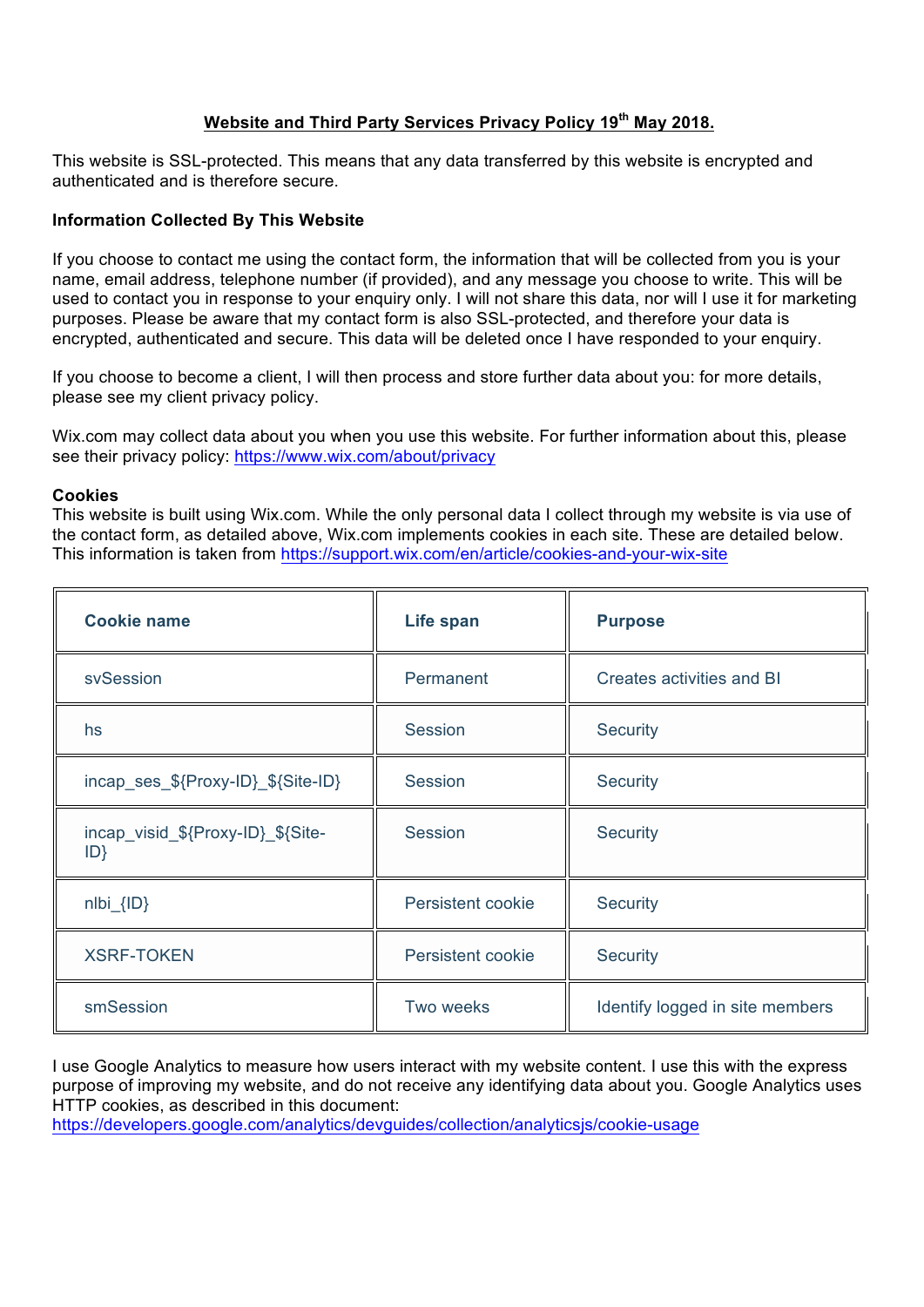# **Website and Third Party Services Privacy Policy 19th May 2018.**

This website is SSL-protected. This means that any data transferred by this website is encrypted and authenticated and is therefore secure.

# **Information Collected By This Website**

If you choose to contact me using the contact form, the information that will be collected from you is your name, email address, telephone number (if provided), and any message you choose to write. This will be used to contact you in response to your enquiry only. I will not share this data, nor will I use it for marketing purposes. Please be aware that my contact form is also SSL-protected, and therefore your data is encrypted, authenticated and secure. This data will be deleted once I have responded to your enquiry.

If you choose to become a client, I will then process and store further data about you: for more details, please see my client privacy policy.

Wix.com may collect data about you when you use this website. For further information about this, please see their privacy policy: https://www.wix.com/about/privacy

### **Cookies**

This website is built using Wix.com. While the only personal data I collect through my website is via use of the contact form, as detailed above, Wix.com implements cookies in each site. These are detailed below. This information is taken from https://support.wix.com/en/article/cookies-and-your-wix-site

| <b>Cookie name</b>                      | Life span                | <b>Purpose</b>                  |
|-----------------------------------------|--------------------------|---------------------------------|
| svSession                               | Permanent                | Creates activities and BI       |
| hs                                      | Session                  | Security                        |
| incap_ses_\${Proxy-ID}_\${Site-ID}      | Session                  | Security                        |
| incap_visid_\${Proxy-ID}_\${Site-<br>ID | Session                  | Security                        |
| $nIbi_{IID}$                            | Persistent cookie        | Security                        |
| <b>XSRF-TOKEN</b>                       | <b>Persistent cookie</b> | <b>Security</b>                 |
| smSession                               | <b>Two weeks</b>         | Identify logged in site members |

I use Google Analytics to measure how users interact with my website content. I use this with the express purpose of improving my website, and do not receive any identifying data about you. Google Analytics uses HTTP cookies, as described in this document:

https://developers.google.com/analytics/devguides/collection/analyticsjs/cookie-usage